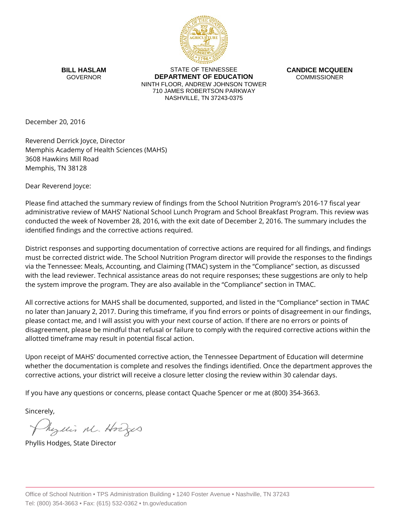

**BILL HASLAM** GOVERNOR

STATE OF TENNESSEE **DEPARTMENT OF EDUCATION** NINTH FLOOR, ANDREW JOHNSON TOWER 710 JAMES ROBERTSON PARKWAY NASHVILLE, TN 37243-0375

**CANDICE MCQUEEN** COMMISSIONER

December 20, 2016

Reverend Derrick Joyce, Director Memphis Academy of Health Sciences (MAHS) 3608 Hawkins Mill Road Memphis, TN 38128

Dear Reverend Joyce:

Please find attached the summary review of findings from the School Nutrition Program's 2016-17 fiscal year administrative review of MAHS' National School Lunch Program and School Breakfast Program. This review was conducted the week of November 28, 2016, with the exit date of December 2, 2016. The summary includes the identified findings and the corrective actions required.

District responses and supporting documentation of corrective actions are required for all findings, and findings must be corrected district wide. The School Nutrition Program director will provide the responses to the findings via the Tennessee: Meals, Accounting, and Claiming (TMAC) system in the "Compliance" section, as discussed with the lead reviewer. Technical assistance areas do not require responses; these suggestions are only to help the system improve the program. They are also available in the "Compliance" section in TMAC.

All corrective actions for MAHS shall be documented, supported, and listed in the "Compliance" section in TMAC no later than January 2, 2017. During this timeframe, if you find errors or points of disagreement in our findings, please contact me, and I will assist you with your next course of action. If there are no errors or points of disagreement, please be mindful that refusal or failure to comply with the required corrective actions within the allotted timeframe may result in potential fiscal action.

Upon receipt of MAHS' documented corrective action, the Tennessee Department of Education will determine whether the documentation is complete and resolves the findings identified. Once the department approves the corrective actions, your district will receive a closure letter closing the review within 30 calendar days.

If you have any questions or concerns, please contact Quache Spencer or me at (800) 354-3663.

Sincerely,

Myllis M. Hodges

Phyllis Hodges, State Director